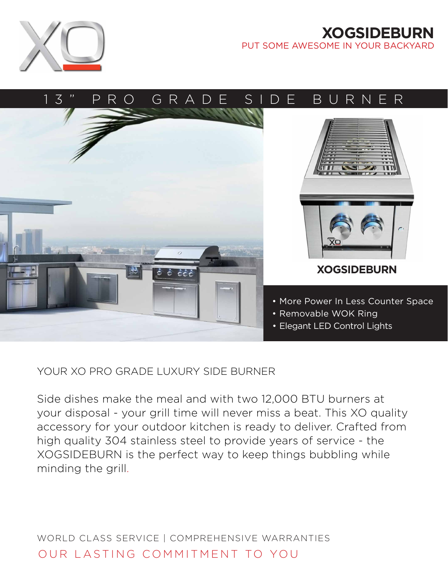

## **XOGSIDEBURN** PUT SOME AWESOME IN YOUR BACKYARD



YOUR XO PRO GRADE LUXURY SIDE BURNER

Side dishes make the meal and with two 12,000 BTU burners at your disposal - your grill time will never miss a beat. This XO quality accessory for your outdoor kitchen is ready to deliver. Crafted from high quality 304 stainless steel to provide years of service - the XOGSIDEBURN is the perfect way to keep things bubbling while minding the grill.

WORLD CLASS SERVICE | COMPREHENSIVE WARRANTIES OUR LASTING COMMITMENT TO YOU